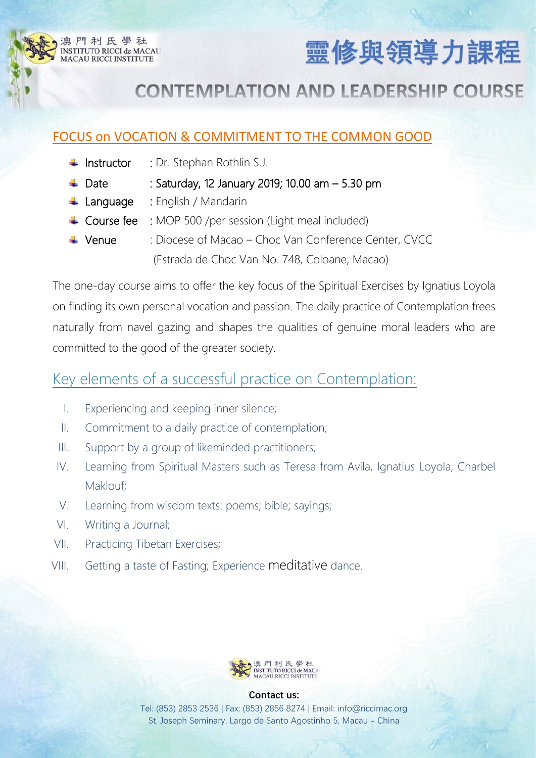



## **CONTEMPLATION AND LEADERSHIP COURSE**

### FOCUS on VOCATION & COMMITMENT TO THE COMMON GOOD

- $\frac{1}{\sqrt{1}}$  Instructor : Dr. Stephan Rothlin S.J.
- $\downarrow$  Date : Saturday, 12 January 2019; 10.00 am  $-5.30$  pm
- Language : English / Mandarin
- ↓ Course fee : MOP 500 /per session (Light meal included)
- Venue : Diocese of Macao Choc Van Conference Center, CVCC (Estrada de Choc Van No. 748, Coloane, Macao)

The one-day course aims to offer the key focus of the Spiritual Exercises by Ignatius Loyola on finding its own personal vocation and passion. The daily practice of Contemplation frees naturally from navel gazing and shapes the qualities of genuine moral leaders who are committed to the good of the greater society.

## Key elements of a successful practice on Contemplation:

- I. Experiencing and keeping inner silence;
- II. Commitment to a daily practice of contemplation;
- III. Support by a group of likeminded practitioners;
- IV. Learning from Spiritual Masters such as Teresa from Avila, Ignatius Loyola, Charbel Maklouf;
- V. Learning from wisdom texts: poems; bible; sayings;
- VI. Writing a Journal;
- VII. Practicing Tibetan Exercises;
- VIII. Getting a taste of Fasting; Experience meditative dance.



#### **Contact us:**

Tel: (853) 2853 2536 | Fax: (853) 2856 8274 | Email: [info@riccimac.org](mailto:info@riccimac.org) St. Joseph Seminary, Largo de Santo Agostinho 5, Macau - China